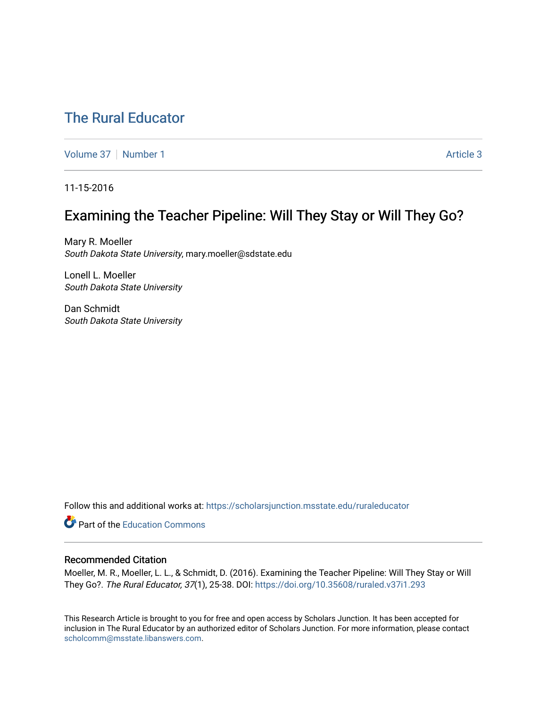# [The Rural Educator](https://scholarsjunction.msstate.edu/ruraleducator)

[Volume 37](https://scholarsjunction.msstate.edu/ruraleducator/vol37) | [Number 1](https://scholarsjunction.msstate.edu/ruraleducator/vol37/iss1) Article 3

11-15-2016

# Examining the Teacher Pipeline: Will They Stay or Will They Go?

Mary R. Moeller South Dakota State University, mary.moeller@sdstate.edu

Lonell L. Moeller South Dakota State University

Dan Schmidt South Dakota State University

Follow this and additional works at: [https://scholarsjunction.msstate.edu/ruraleducator](https://scholarsjunction.msstate.edu/ruraleducator?utm_source=scholarsjunction.msstate.edu%2Fruraleducator%2Fvol37%2Fiss1%2F3&utm_medium=PDF&utm_campaign=PDFCoverPages)

**C** Part of the [Education Commons](http://network.bepress.com/hgg/discipline/784?utm_source=scholarsjunction.msstate.edu%2Fruraleducator%2Fvol37%2Fiss1%2F3&utm_medium=PDF&utm_campaign=PDFCoverPages)

# Recommended Citation

Moeller, M. R., Moeller, L. L., & Schmidt, D. (2016). Examining the Teacher Pipeline: Will They Stay or Will They Go?. The Rural Educator, 37(1), 25-38. DOI: <https://doi.org/10.35608/ruraled.v37i1.293>

This Research Article is brought to you for free and open access by Scholars Junction. It has been accepted for inclusion in The Rural Educator by an authorized editor of Scholars Junction. For more information, please contact [scholcomm@msstate.libanswers.com.](mailto:scholcomm@msstate.libanswers.com)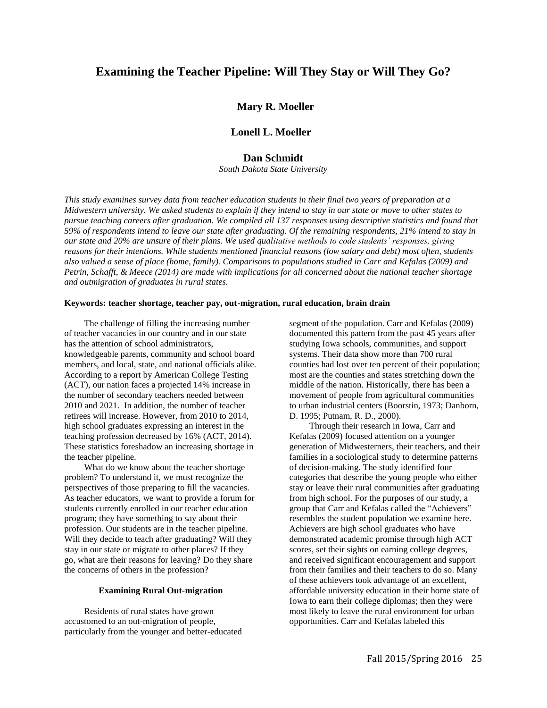# **Examining the Teacher Pipeline: Will They Stay or Will They Go?**

## **Mary R. Moeller**

## **Lonell L. Moeller**

# **Dan Schmidt**

*South Dakota State University* 

*This study examines survey data from teacher education students in their final two years of preparation at a Midwestern university. We asked students to explain if they intend to stay in our state or move to other states to pursue teaching careers after graduation. We compiled all 137 responses using descriptive statistics and found that 59% of respondents intend to leave our state after graduating. Of the remaining respondents, 21% intend to stay in our state and 20% are unsure of their plans. We used qualitative methods to code students' responses, giving reasons for their intentions. While students mentioned financial reasons (low salary and debt) most often, students also valued a sense of place (home, family). Comparisons to populations studied in Carr and Kefalas (2009) and Petrin, Schafft, & Meece (2014) are made with implications for all concerned about the national teacher shortage and outmigration of graduates in rural states.* 

### **Keywords: teacher shortage, teacher pay, out-migration, rural education, brain drain**

The challenge of filling the increasing number of teacher vacancies in our country and in our state has the attention of school administrators, knowledgeable parents, community and school board members, and local, state, and national officials alike. According to a report by American College Testing (ACT), our nation faces a projected 14% increase in the number of secondary teachers needed between 2010 and 2021. In addition, the number of teacher retirees will increase. However, from 2010 to 2014, high school graduates expressing an interest in the teaching profession decreased by 16% (ACT, 2014). These statistics foreshadow an increasing shortage in the teacher pipeline.

What do we know about the teacher shortage problem? To understand it, we must recognize the perspectives of those preparing to fill the vacancies. As teacher educators, we want to provide a forum for students currently enrolled in our teacher education program; they have something to say about their profession. Our students are in the teacher pipeline. Will they decide to teach after graduating? Will they stay in our state or migrate to other places? If they go, what are their reasons for leaving? Do they share the concerns of others in the profession?

#### **Examining Rural Out-migration**

Residents of rural states have grown accustomed to an out-migration of people, particularly from the younger and better-educated segment of the population. Carr and Kefalas (2009) documented this pattern from the past 45 years after studying Iowa schools, communities, and support systems. Their data show more than 700 rural counties had lost over ten percent of their population; most are the counties and states stretching down the middle of the nation. Historically, there has been a movement of people from agricultural communities to urban industrial centers (Boorstin, 1973; Danborn, D. 1995; Putnam, R. D., 2000).

Through their research in Iowa, Carr and Kefalas (2009) focused attention on a younger generation of Midwesterners, their teachers, and their families in a sociological study to determine patterns of decision-making. The study identified four categories that describe the young people who either stay or leave their rural communities after graduating from high school. For the purposes of our study, a group that Carr and Kefalas called the "Achievers" resembles the student population we examine here. Achievers are high school graduates who have demonstrated academic promise through high ACT scores, set their sights on earning college degrees, and received significant encouragement and support from their families and their teachers to do so. Many of these achievers took advantage of an excellent, affordable university education in their home state of Iowa to earn their college diplomas; then they were most likely to leave the rural environment for urban opportunities. Carr and Kefalas labeled this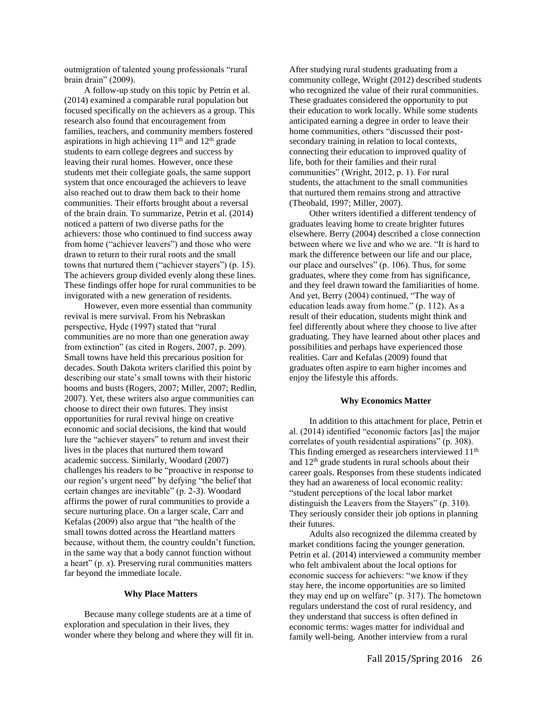outmigration of talented young professionals "rural brain drain" (2009).

A follow-up study on this topic by Petrin et al. (2014) examined a comparable rural population but focused specifically on the achievers as a group. This research also found that encouragement from families, teachers, and community members fostered aspirations in high achieving  $11<sup>th</sup>$  and  $12<sup>th</sup>$  grade students to earn college degrees and success by leaving their rural homes. However, once these students met their collegiate goals, the same support system that once encouraged the achievers to leave also reached out to draw them back to their home communities. Their efforts brought about a reversal of the brain drain. To summarize, Petrin et al. (2014) noticed a pattern of two diverse paths for the achievers: those who continued to find success away from home ("achiever leavers") and those who were drawn to return to their rural roots and the small towns that nurtured them ("achiever stayers") (p. 15). The achievers group divided evenly along these lines. These findings offer hope for rural communities to be invigorated with a new generation of residents.

However, even more essential than community revival is mere survival. From his Nebraskan perspective, Hyde (1997) stated that "rural communities are no more than one generation away from extinction" (as cited in Rogers, 2007, p. 209). Small towns have held this precarious position for decades. South Dakota writers clarified this point by describing our state's small towns with their historic booms and busts (Rogers, 2007; Miller, 2007; Redlin, 2007). Yet, these writers also argue communities can choose to direct their own futures. They insist opportunities for rural revival hinge on creative economic and social decisions, the kind that would lure the "achiever stayers" to return and invest their lives in the places that nurtured them toward academic success. Similarly, Woodard (2007) challenges his readers to be "proactive in response to our region's urgent need" by defying "the belief that certain changes are inevitable" (p. 2-3). Woodard affirms the power of rural communities to provide a secure nurturing place. On a larger scale, Carr and Kefalas (2009) also argue that "the health of the small towns dotted across the Heartland matters because, without them, the country couldn't function, in the same way that a body cannot function without a heart" (p. *x*). Preserving rural communities matters far beyond the immediate locale.

#### **Why Place Matters**

Because many college students are at a time of exploration and speculation in their lives, they wonder where they belong and where they will fit in. After studying rural students graduating from a community college, Wright (2012) described students who recognized the value of their rural communities. These graduates considered the opportunity to put their education to work locally. While some students anticipated earning a degree in order to leave their home communities, others "discussed their postsecondary training in relation to local contexts, connecting their education to improved quality of life, both for their families and their rural communities" (Wright, 2012, p. 1). For rural students, the attachment to the small communities that nurtured them remains strong and attractive (Theobald, 1997; Miller, 2007).

Other writers identified a different tendency of graduates leaving home to create brighter futures elsewhere. Berry (2004) described a close connection between where we live and who we are. "It is hard to mark the difference between our life and our place, our place and ourselves" (p. 106). Thus, for some graduates, where they come from has significance, and they feel drawn toward the familiarities of home. And yet, Berry (2004) continued, "The way of education leads away from home." (p. 112). As a result of their education, students might think and feel differently about where they choose to live after graduating. They have learned about other places and possibilities and perhaps have experienced those realities. Carr and Kefalas (2009) found that graduates often aspire to earn higher incomes and enjoy the lifestyle this affords.

#### **Why Economics Matter**

In addition to this attachment for place, Petrin et al. (2014) identified "economic factors [as] the major correlates of youth residential aspirations" (p. 308). This finding emerged as researchers interviewed 11<sup>th</sup> and  $12<sup>th</sup>$  grade students in rural schools about their career goals. Responses from these students indicated they had an awareness of local economic reality: "student perceptions of the local labor market distinguish the Leavers from the Stayers" (p. 310). They seriously consider their job options in planning their futures.

Adults also recognized the dilemma created by market conditions facing the younger generation. Petrin et al. (2014) interviewed a community member who felt ambivalent about the local options for economic success for achievers: "we know if they stay here, the income opportunities are so limited they may end up on welfare" (p. 317). The hometown regulars understand the cost of rural residency, and they understand that success is often defined in economic terms: wages matter for individual and family well-being. Another interview from a rural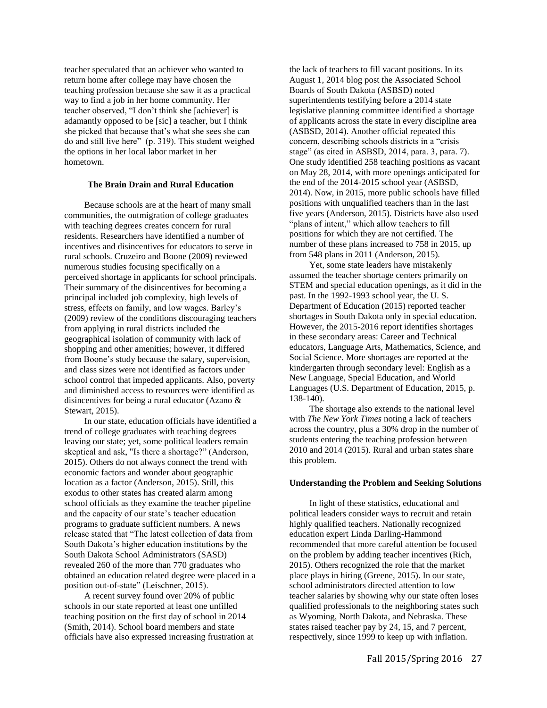teacher speculated that an achiever who wanted to return home after college may have chosen the teaching profession because she saw it as a practical way to find a job in her home community. Her teacher observed, "I don't think she [achiever] is adamantly opposed to be [sic] a teacher, but I think she picked that because that's what she sees she can do and still live here" (p. 319). This student weighed the options in her local labor market in her hometown.

#### **The Brain Drain and Rural Education**

Because schools are at the heart of many small communities, the outmigration of college graduates with teaching degrees creates concern for rural residents. Researchers have identified a number of incentives and disincentives for educators to serve in rural schools. Cruzeiro and Boone (2009) reviewed numerous studies focusing specifically on a perceived shortage in applicants for school principals. Their summary of the disincentives for becoming a principal included job complexity, high levels of stress, effects on family, and low wages. Barley's (2009) review of the conditions discouraging teachers from applying in rural districts included the geographical isolation of community with lack of shopping and other amenities; however, it differed from Boone's study because the salary, supervision, and class sizes were not identified as factors under school control that impeded applicants. Also, poverty and diminished access to resources were identified as disincentives for being a rural educator (Azano & Stewart, 2015).

In our state, education officials have identified a trend of college graduates with teaching degrees leaving our state; yet, some political leaders remain skeptical and ask, "Is there a shortage?" (Anderson, 2015). Others do not always connect the trend with economic factors and wonder about geographic location as a factor (Anderson, 2015). Still, this exodus to other states has created alarm among school officials as they examine the teacher pipeline and the capacity of our state's teacher education programs to graduate sufficient numbers. A news release stated that "The latest collection of data from South Dakota's higher education institutions by the South Dakota School Administrators (SASD) revealed 260 of the more than 770 graduates who obtained an education related degree were placed in a position out-of-state" (Leischner, 2015).

A recent survey found over 20% of public schools in our state reported at least one unfilled teaching position on the first day of school in 2014 (Smith, 2014). School board members and state officials have also expressed increasing frustration at the lack of teachers to fill vacant positions. In its August 1, 2014 blog post the Associated School Boards of South Dakota (ASBSD) noted superintendents testifying before a 2014 state legislative planning committee identified a shortage of applicants across the state in every discipline area (ASBSD, 2014). Another official repeated this concern, describing schools districts in a "crisis stage" (as cited in ASBSD, 2014, para. 3, para. 7). One study identified 258 teaching positions as vacant on May 28, 2014, with more openings anticipated for the end of the 2014-2015 school year (ASBSD, 2014). Now, in 2015, more public schools have filled positions with unqualified teachers than in the last five years (Anderson, 2015). Districts have also used "plans of intent," which allow teachers to fill positions for which they are not certified. The number of these plans increased to 758 in 2015, up from 548 plans in 2011 (Anderson, 2015).

Yet, some state leaders have mistakenly assumed the teacher shortage centers primarily on STEM and special education openings, as it did in the past. In the 1992-1993 school year, the U. S. Department of Education (2015) reported teacher shortages in South Dakota only in special education. However, the 2015-2016 report identifies shortages in these secondary areas: Career and Technical educators, Language Arts, Mathematics, Science, and Social Science. More shortages are reported at the kindergarten through secondary level: English as a New Language, Special Education, and World Languages (U.S. Department of Education, 2015, p. 138-140).

The shortage also extends to the national level with *The New York Times* noting a lack of teachers across the country, plus a 30% drop in the number of students entering the teaching profession between 2010 and 2014 (2015). Rural and urban states share this problem.

#### **Understanding the Problem and Seeking Solutions**

In light of these statistics, educational and political leaders consider ways to recruit and retain highly qualified teachers. Nationally recognized education expert Linda Darling-Hammond recommended that more careful attention be focused on the problem by adding teacher incentives (Rich, 2015). Others recognized the role that the market place plays in hiring (Greene, 2015). In our state, school administrators directed attention to low teacher salaries by showing why our state often loses qualified professionals to the neighboring states such as Wyoming, North Dakota, and Nebraska. These states raised teacher pay by 24, 15, and 7 percent, respectively, since 1999 to keep up with inflation.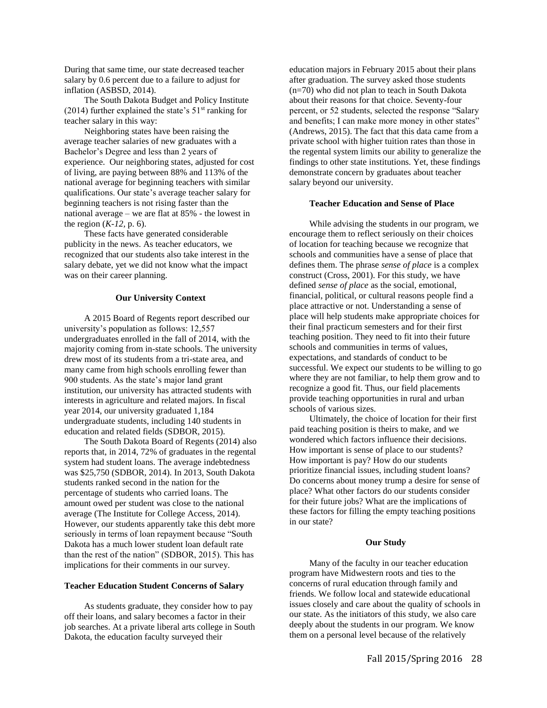During that same time, our state decreased teacher salary by 0.6 percent due to a failure to adjust for inflation (ASBSD, 2014).

The South Dakota Budget and Policy Institute (2014) further explained the state's  $51<sup>st</sup>$  ranking for teacher salary in this way:

Neighboring states have been raising the average teacher salaries of new graduates with a Bachelor's Degree and less than 2 years of experience. Our neighboring states, adjusted for cost of living, are paying between 88% and 113% of the national average for beginning teachers with similar qualifications. Our state's average teacher salary for beginning teachers is not rising faster than the national average – we are flat at 85% - the lowest in the region (*K-12,* p. 6).

These facts have generated considerable publicity in the news. As teacher educators, we recognized that our students also take interest in the salary debate, yet we did not know what the impact was on their career planning.

#### **Our University Context**

A 2015 Board of Regents report described our university's population as follows: 12,557 undergraduates enrolled in the fall of 2014, with the majority coming from in-state schools. The university drew most of its students from a tri-state area, and many came from high schools enrolling fewer than 900 students. As the state's major land grant institution, our university has attracted students with interests in agriculture and related majors. In fiscal year 2014, our university graduated 1,184 undergraduate students, including 140 students in education and related fields (SDBOR, 2015).

The South Dakota Board of Regents (2014) also reports that, in 2014, 72% of graduates in the regental system had student loans. The average indebtedness was \$25,750 (SDBOR, 2014). In 2013, South Dakota students ranked second in the nation for the percentage of students who carried loans. The amount owed per student was close to the national average (The Institute for College Access, 2014). However, our students apparently take this debt more seriously in terms of loan repayment because "South Dakota has a much lower student loan default rate than the rest of the nation" (SDBOR, 2015). This has implications for their comments in our survey.

## **Teacher Education Student Concerns of Salary**

As students graduate, they consider how to pay off their loans, and salary becomes a factor in their job searches. At a private liberal arts college in South Dakota, the education faculty surveyed their

education majors in February 2015 about their plans after graduation. The survey asked those students (n=70) who did not plan to teach in South Dakota about their reasons for that choice. Seventy-four percent, or 52 students, selected the response "Salary and benefits; I can make more money in other states" (Andrews, 2015). The fact that this data came from a private school with higher tuition rates than those in the regental system limits our ability to generalize the findings to other state institutions. Yet, these findings demonstrate concern by graduates about teacher salary beyond our university.

### **Teacher Education and Sense of Place**

While advising the students in our program, we encourage them to reflect seriously on their choices of location for teaching because we recognize that schools and communities have a sense of place that defines them. The phrase *sense of place* is a complex construct (Cross, 2001). For this study, we have defined *sense of place* as the social, emotional, financial, political, or cultural reasons people find a place attractive or not. Understanding a sense of place will help students make appropriate choices for their final practicum semesters and for their first teaching position. They need to fit into their future schools and communities in terms of values, expectations, and standards of conduct to be successful. We expect our students to be willing to go where they are not familiar, to help them grow and to recognize a good fit. Thus, our field placements provide teaching opportunities in rural and urban schools of various sizes.

Ultimately, the choice of location for their first paid teaching position is theirs to make, and we wondered which factors influence their decisions. How important is sense of place to our students? How important is pay? How do our students prioritize financial issues, including student loans? Do concerns about money trump a desire for sense of place? What other factors do our students consider for their future jobs? What are the implications of these factors for filling the empty teaching positions in our state?

#### **Our Study**

Many of the faculty in our teacher education program have Midwestern roots and ties to the concerns of rural education through family and friends. We follow local and statewide educational issues closely and care about the quality of schools in our state. As the initiators of this study, we also care deeply about the students in our program. We know them on a personal level because of the relatively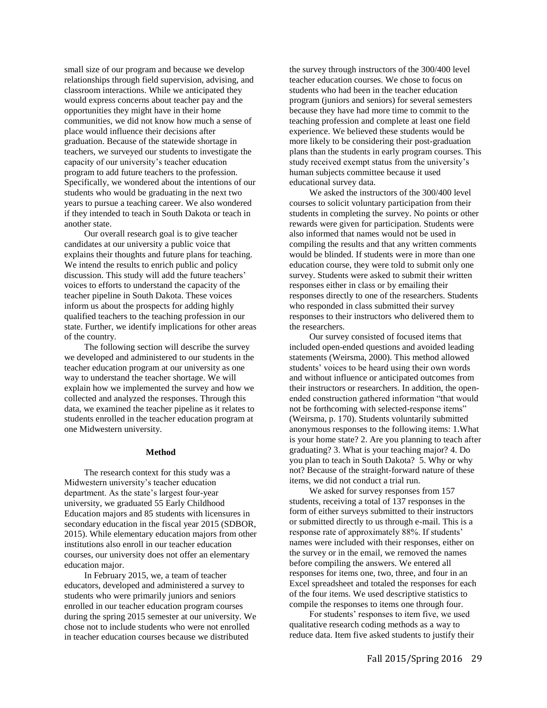small size of our program and because we develop relationships through field supervision, advising, and classroom interactions. While we anticipated they would express concerns about teacher pay and the opportunities they might have in their home communities, we did not know how much a sense of place would influence their decisions after graduation. Because of the statewide shortage in teachers, we surveyed our students to investigate the capacity of our university's teacher education program to add future teachers to the profession. Specifically, we wondered about the intentions of our students who would be graduating in the next two years to pursue a teaching career. We also wondered if they intended to teach in South Dakota or teach in another state.

Our overall research goal is to give teacher candidates at our university a public voice that explains their thoughts and future plans for teaching. We intend the results to enrich public and policy discussion. This study will add the future teachers' voices to efforts to understand the capacity of the teacher pipeline in South Dakota. These voices inform us about the prospects for adding highly qualified teachers to the teaching profession in our state. Further, we identify implications for other areas of the country.

The following section will describe the survey we developed and administered to our students in the teacher education program at our university as one way to understand the teacher shortage. We will explain how we implemented the survey and how we collected and analyzed the responses. Through this data, we examined the teacher pipeline as it relates to students enrolled in the teacher education program at one Midwestern university.

### **Method**

The research context for this study was a Midwestern university's teacher education department. As the state's largest four-year university, we graduated 55 Early Childhood Education majors and 85 students with licensures in secondary education in the fiscal year 2015 (SDBOR, 2015). While elementary education majors from other institutions also enroll in our teacher education courses, our university does not offer an elementary education major.

In February 2015, we, a team of teacher educators, developed and administered a survey to students who were primarily juniors and seniors enrolled in our teacher education program courses during the spring 2015 semester at our university. We chose not to include students who were not enrolled in teacher education courses because we distributed

the survey through instructors of the 300/400 level teacher education courses. We chose to focus on students who had been in the teacher education program (juniors and seniors) for several semesters because they have had more time to commit to the teaching profession and complete at least one field experience. We believed these students would be more likely to be considering their post-graduation plans than the students in early program courses. This study received exempt status from the university's human subjects committee because it used educational survey data.

We asked the instructors of the 300/400 level courses to solicit voluntary participation from their students in completing the survey. No points or other rewards were given for participation. Students were also informed that names would not be used in compiling the results and that any written comments would be blinded. If students were in more than one education course, they were told to submit only one survey. Students were asked to submit their written responses either in class or by emailing their responses directly to one of the researchers. Students who responded in class submitted their survey responses to their instructors who delivered them to the researchers.

Our survey consisted of focused items that included open-ended questions and avoided leading statements (Weirsma, 2000). This method allowed students' voices to be heard using their own words and without influence or anticipated outcomes from their instructors or researchers. In addition, the openended construction gathered information "that would not be forthcoming with selected-response items" (Weirsma, p. 170). Students voluntarily submitted anonymous responses to the following items: 1.What is your home state? 2. Are you planning to teach after graduating? 3. What is your teaching major? 4. Do you plan to teach in South Dakota? 5. Why or why not? Because of the straight-forward nature of these items, we did not conduct a trial run.

We asked for survey responses from 157 students, receiving a total of 137 responses in the form of either surveys submitted to their instructors or submitted directly to us through e-mail. This is a response rate of approximately 88%. If students' names were included with their responses, either on the survey or in the email, we removed the names before compiling the answers. We entered all responses for items one, two, three, and four in an Excel spreadsheet and totaled the responses for each of the four items. We used descriptive statistics to compile the responses to items one through four.

For students' responses to item five, we used qualitative research coding methods as a way to reduce data. Item five asked students to justify their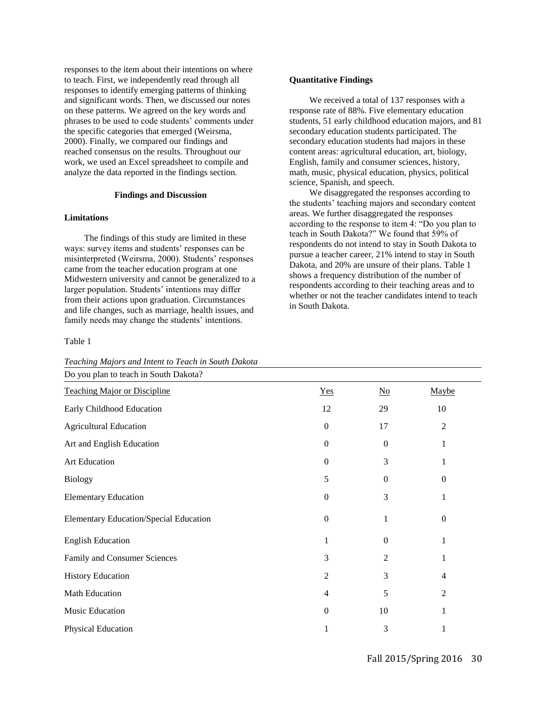responses to the item about their intentions on where to teach. First, we independently read through all responses to identify emerging patterns of thinking and significant words. Then, we discussed our notes on these patterns. We agreed on the key words and phrases to be used to code students' comments under the specific categories that emerged (Weirsma, 2000). Finally, we compared our findings and reached consensus on the results. Throughout our work, we used an Excel spreadsheet to compile and analyze the data reported in the findings section.

#### **Findings and Discussion**

#### **Limitations**

The findings of this study are limited in these ways: survey items and students' responses can be misinterpreted (Weirsma, 2000). Students' responses came from the teacher education program at one Midwestern university and cannot be generalized to a larger population. Students' intentions may differ from their actions upon graduation. Circumstances and life changes, such as marriage, health issues, and family needs may change the students' intentions.

#### Table 1

*Teaching Majors and Intent to Teach in South Dakota*

## **Quantitative Findings**

We received a total of 137 responses with a response rate of 88%. Five elementary education students, 51 early childhood education majors, and 81 secondary education students participated. The secondary education students had majors in these content areas: agricultural education, art, biology, English, family and consumer sciences, history, math, music, physical education, physics, political science, Spanish, and speech.

We disaggregated the responses according to the students' teaching majors and secondary content areas. We further disaggregated the responses according to the response to item 4: "Do you plan to teach in South Dakota?" We found that 59% of respondents do not intend to stay in South Dakota to pursue a teacher career, 21% intend to stay in South Dakota, and 20% are unsure of their plans. Table 1 shows a frequency distribution of the number of respondents according to their teaching areas and to whether or not the teacher candidates intend to teach in South Dakota.

| Do you plan to teach in South Dakota?         |                |                           |                  |
|-----------------------------------------------|----------------|---------------------------|------------------|
| <b>Teaching Major or Discipline</b>           | Yes            | $\underline{\mathrm{No}}$ | Maybe            |
| Early Childhood Education                     | 12             | 29                        | 10               |
| <b>Agricultural Education</b>                 | $\mathbf{0}$   | 17                        | $\overline{c}$   |
| Art and English Education                     | $\Omega$       | 0                         | 1                |
| Art Education                                 | $\mathbf{0}$   | 3                         | 1                |
| <b>Biology</b>                                | 5              | $\theta$                  | $\boldsymbol{0}$ |
| <b>Elementary Education</b>                   | $\mathbf{0}$   | 3                         | 1                |
| <b>Elementary Education/Special Education</b> | $\mathbf{0}$   | 1                         | $\boldsymbol{0}$ |
| <b>English Education</b>                      | 1              | 0                         | 1                |
| Family and Consumer Sciences                  | 3              | 2                         | 1                |
| <b>History Education</b>                      | $\overline{2}$ | 3                         | 4                |
| <b>Math Education</b>                         | $\overline{4}$ | 5                         | $\overline{c}$   |
| Music Education                               | $\mathbf{0}$   | 10                        | 1                |
| Physical Education                            |                | 3                         |                  |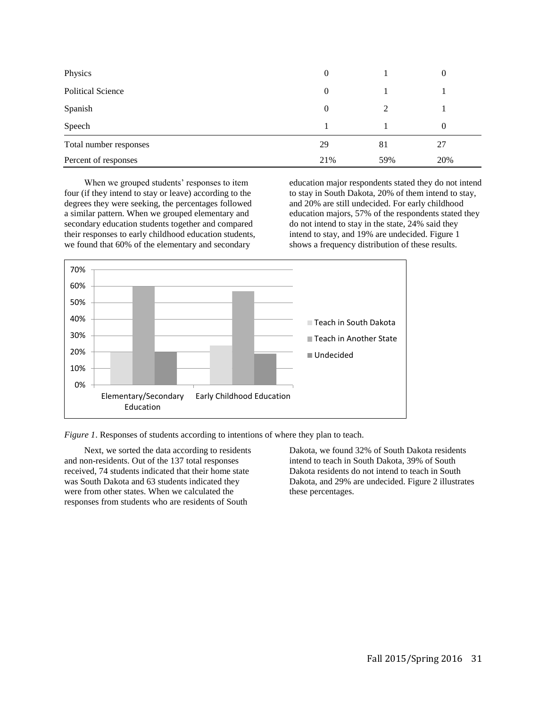| Physics                  | $\theta$ |     | 0   |
|--------------------------|----------|-----|-----|
| <b>Political Science</b> | $\theta$ |     |     |
| Spanish                  | $\theta$ | 2   |     |
| Speech                   |          |     | 0   |
| Total number responses   | 29       | 81  | 27  |
| Percent of responses     | 21%      | 59% | 20% |

When we grouped students' responses to item four (if they intend to stay or leave) according to the degrees they were seeking, the percentages followed a similar pattern. When we grouped elementary and secondary education students together and compared their responses to early childhood education students, we found that 60% of the elementary and secondary

education major respondents stated they do not intend to stay in South Dakota, 20% of them intend to stay, and 20% are still undecided. For early childhood education majors, 57% of the respondents stated they do not intend to stay in the state, 24% said they intend to stay, and 19% are undecided. Figure 1 shows a frequency distribution of these results.



*Figure 1*. Responses of students according to intentions of where they plan to teach.

Next, we sorted the data according to residents and non-residents. Out of the 137 total responses received, 74 students indicated that their home state was South Dakota and 63 students indicated they were from other states. When we calculated the responses from students who are residents of South

Dakota, we found 32% of South Dakota residents intend to teach in South Dakota, 39% of South Dakota residents do not intend to teach in South Dakota, and 29% are undecided. Figure 2 illustrates these percentages.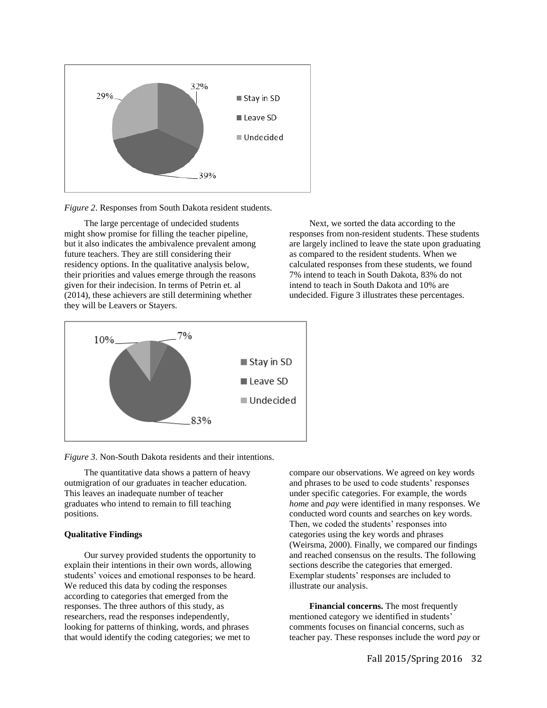

*Figure 2*. Responses from South Dakota resident students.

The large percentage of undecided students might show promise for filling the teacher pipeline, but it also indicates the ambivalence prevalent among future teachers. They are still considering their residency options. In the qualitative analysis below, their priorities and values emerge through the reasons given for their indecision. In terms of Petrin et. al (2014), these achievers are still determining whether they will be Leavers or Stayers.





*Figure 3*. Non-South Dakota residents and their intentions.

The quantitative data shows a pattern of heavy outmigration of our graduates in teacher education. This leaves an inadequate number of teacher graduates who intend to remain to fill teaching positions.

## **Qualitative Findings**

Our survey provided students the opportunity to explain their intentions in their own words, allowing students' voices and emotional responses to be heard. We reduced this data by coding the responses according to categories that emerged from the responses. The three authors of this study, as researchers, read the responses independently, looking for patterns of thinking, words, and phrases that would identify the coding categories; we met to

compare our observations. We agreed on key words and phrases to be used to code students' responses under specific categories. For example, the words *home* and *pay* were identified in many responses. We conducted word counts and searches on key words. Then, we coded the students' responses into categories using the key words and phrases (Weirsma, 2000). Finally, we compared our findings and reached consensus on the results. The following sections describe the categories that emerged. Exemplar students' responses are included to illustrate our analysis.

**Financial concerns.** The most frequently mentioned category we identified in students' comments focuses on financial concerns, such as teacher pay. These responses include the word *pay* or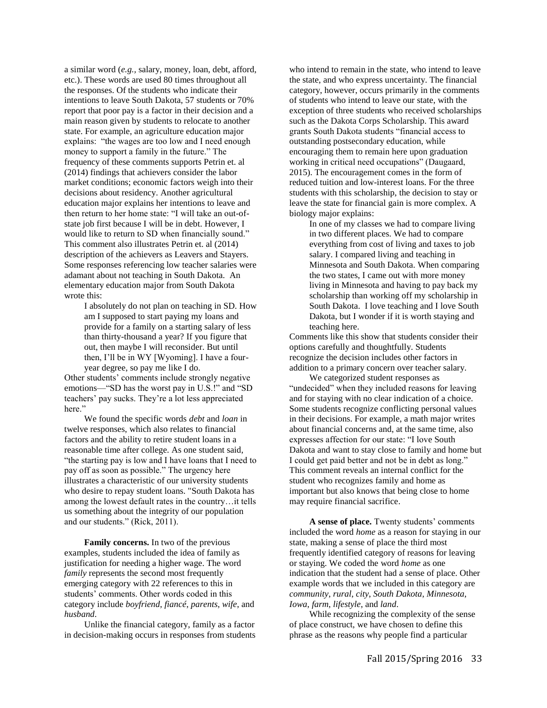a similar word (*e.g.,* salary, money, loan, debt, afford, etc.). These words are used 80 times throughout all the responses. Of the students who indicate their intentions to leave South Dakota, 57 students or 70% report that poor pay is a factor in their decision and a main reason given by students to relocate to another state. For example, an agriculture education major explains: "the wages are too low and I need enough money to support a family in the future." The frequency of these comments supports Petrin et. al (2014) findings that achievers consider the labor market conditions; economic factors weigh into their decisions about residency. Another agricultural education major explains her intentions to leave and then return to her home state: "I will take an out-ofstate job first because I will be in debt. However, I would like to return to SD when financially sound." This comment also illustrates Petrin et. al (2014) description of the achievers as Leavers and Stayers. Some responses referencing low teacher salaries were adamant about not teaching in South Dakota. An elementary education major from South Dakota wrote this:

> I absolutely do not plan on teaching in SD. How am I supposed to start paying my loans and provide for a family on a starting salary of less than thirty-thousand a year? If you figure that out, then maybe I will reconsider. But until then, I'll be in WY [Wyoming]. I have a fouryear degree, so pay me like I do.

Other students' comments include strongly negative emotions—"SD has the worst pay in U.S.!" and "SD teachers' pay sucks. They're a lot less appreciated here."

We found the specific words *debt* and *loan* in twelve responses, which also relates to financial factors and the ability to retire student loans in a reasonable time after college. As one student said, "the starting pay is low and I have loans that I need to pay off as soon as possible." The urgency here illustrates a characteristic of our university students who desire to repay student loans. "South Dakota has among the lowest default rates in the country…it tells us something about the integrity of our population and our students." (Rick, 2011).

**Family concerns.** In two of the previous examples, students included the idea of family as justification for needing a higher wage. The word *family* represents the second most frequently emerging category with 22 references to this in students' comments. Other words coded in this category include *boyfriend*, *fiancé*, *parents*, *wife*, and *husband*.

Unlike the financial category, family as a factor in decision-making occurs in responses from students who intend to remain in the state, who intend to leave the state, and who express uncertainty. The financial category, however, occurs primarily in the comments of students who intend to leave our state, with the exception of three students who received scholarships such as the Dakota Corps Scholarship. This award grants South Dakota students "financial access to outstanding postsecondary education, while encouraging them to remain here upon graduation working in critical need occupations" (Daugaard, 2015). The encouragement comes in the form of reduced tuition and low-interest loans. For the three students with this scholarship, the decision to stay or leave the state for financial gain is more complex. A biology major explains:

In one of my classes we had to compare living in two different places. We had to compare everything from cost of living and taxes to job salary. I compared living and teaching in Minnesota and South Dakota. When comparing the two states, I came out with more money living in Minnesota and having to pay back my scholarship than working off my scholarship in South Dakota. I love teaching and I love South Dakota, but I wonder if it is worth staying and teaching here.

Comments like this show that students consider their options carefully and thoughtfully. Students recognize the decision includes other factors in addition to a primary concern over teacher salary.

We categorized student responses as "undecided" when they included reasons for leaving and for staying with no clear indication of a choice. Some students recognize conflicting personal values in their decisions. For example, a math major writes about financial concerns and, at the same time, also expresses affection for our state: "I love South Dakota and want to stay close to family and home but I could get paid better and not be in debt as long." This comment reveals an internal conflict for the student who recognizes family and home as important but also knows that being close to home may require financial sacrifice.

**A sense of place.** Twenty students' comments included the word *home* as a reason for staying in our state, making a sense of place the third most frequently identified category of reasons for leaving or staying. We coded the word *home* as one indication that the student had a sense of place. Other example words that we included in this category are *community*, *rural*, *city*, *South Dakota*, *Minnesota*, *Iowa*, *farm*, *lifestyle*, and *land*.

While recognizing the complexity of the sense of place construct, we have chosen to define this phrase as the reasons why people find a particular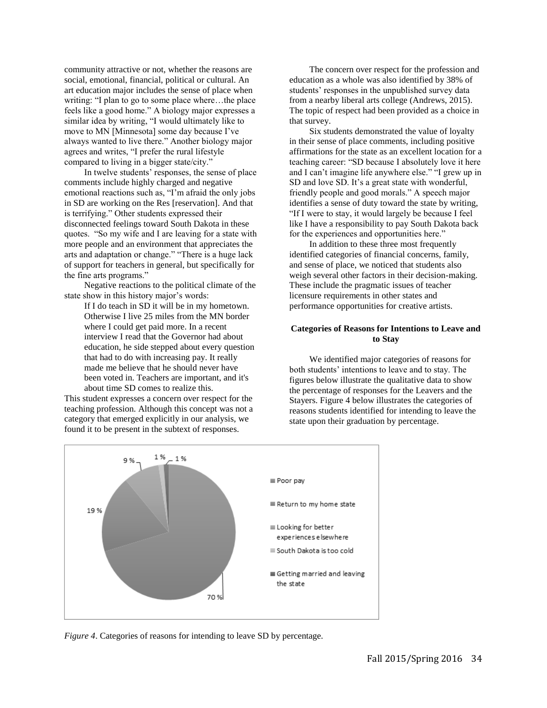community attractive or not, whether the reasons are social, emotional, financial, political or cultural. An art education major includes the sense of place when writing: "I plan to go to some place where…the place feels like a good home." A biology major expresses a similar idea by writing, "I would ultimately like to move to MN [Minnesota] some day because I've always wanted to live there." Another biology major agrees and writes, "I prefer the rural lifestyle compared to living in a bigger state/city."

In twelve students' responses, the sense of place comments include highly charged and negative emotional reactions such as, "I'm afraid the only jobs in SD are working on the Res [reservation]. And that is terrifying." Other students expressed their disconnected feelings toward South Dakota in these quotes. "So my wife and I are leaving for a state with more people and an environment that appreciates the arts and adaptation or change." "There is a huge lack of support for teachers in general, but specifically for the fine arts programs."

Negative reactions to the political climate of the state show in this history major's words:

> If I do teach in SD it will be in my hometown. Otherwise I live 25 miles from the MN border where I could get paid more. In a recent interview I read that the Governor had about education, he side stepped about every question that had to do with increasing pay. It really made me believe that he should never have been voted in. Teachers are important, and it's about time SD comes to realize this.

This student expresses a concern over respect for the teaching profession. Although this concept was not a category that emerged explicitly in our analysis, we found it to be present in the subtext of responses.

The concern over respect for the profession and education as a whole was also identified by 38% of students' responses in the unpublished survey data from a nearby liberal arts college (Andrews, 2015). The topic of respect had been provided as a choice in that survey.

Six students demonstrated the value of loyalty in their sense of place comments, including positive affirmations for the state as an excellent location for a teaching career: "SD because I absolutely love it here and I can't imagine life anywhere else." "I grew up in SD and love SD. It's a great state with wonderful, friendly people and good morals." A speech major identifies a sense of duty toward the state by writing, "If I were to stay, it would largely be because I feel like I have a responsibility to pay South Dakota back for the experiences and opportunities here."

In addition to these three most frequently identified categories of financial concerns, family, and sense of place, we noticed that students also weigh several other factors in their decision-making. These include the pragmatic issues of teacher licensure requirements in other states and performance opportunities for creative artists.

## **Categories of Reasons for Intentions to Leave and to Stay**

We identified major categories of reasons for both students' intentions to leave and to stay. The figures below illustrate the qualitative data to show the percentage of responses for the Leavers and the Stayers. Figure 4 below illustrates the categories of reasons students identified for intending to leave the state upon their graduation by percentage.



*Figure 4.* Categories of reasons for intending to leave SD by percentage.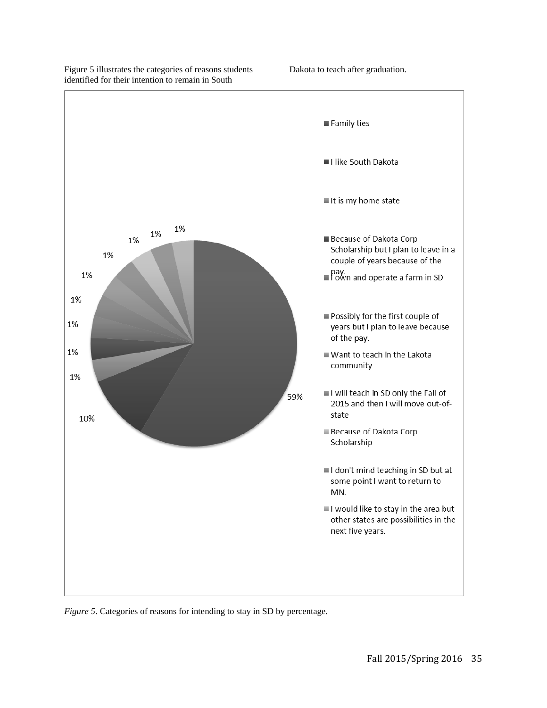

# Figure 5 illustrates the categories of reasons students identified for their intention to remain in South

Dakota to teach after graduation.

*Figure 5*. Categories of reasons for intending to stay in SD by percentage.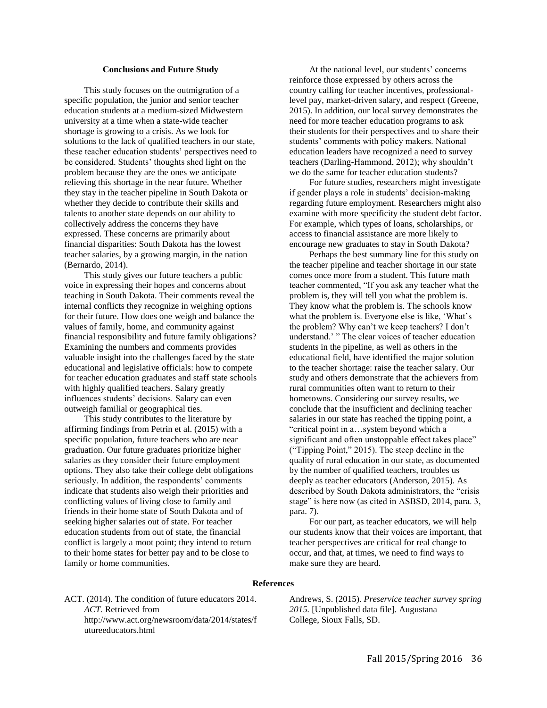### **Conclusions and Future Study**

This study focuses on the outmigration of a specific population, the junior and senior teacher education students at a medium-sized Midwestern university at a time when a state-wide teacher shortage is growing to a crisis. As we look for solutions to the lack of qualified teachers in our state, these teacher education students' perspectives need to be considered. Students' thoughts shed light on the problem because they are the ones we anticipate relieving this shortage in the near future. Whether they stay in the teacher pipeline in South Dakota or whether they decide to contribute their skills and talents to another state depends on our ability to collectively address the concerns they have expressed. These concerns are primarily about financial disparities: South Dakota has the lowest teacher salaries, by a growing margin, in the nation (Bernardo, 2014).

This study gives our future teachers a public voice in expressing their hopes and concerns about teaching in South Dakota. Their comments reveal the internal conflicts they recognize in weighing options for their future. How does one weigh and balance the values of family, home, and community against financial responsibility and future family obligations? Examining the numbers and comments provides valuable insight into the challenges faced by the state educational and legislative officials: how to compete for teacher education graduates and staff state schools with highly qualified teachers. Salary greatly influences students' decisions. Salary can even outweigh familial or geographical ties.

This study contributes to the literature by affirming findings from Petrin et al. (2015) with a specific population, future teachers who are near graduation. Our future graduates prioritize higher salaries as they consider their future employment options. They also take their college debt obligations seriously. In addition, the respondents' comments indicate that students also weigh their priorities and conflicting values of living close to family and friends in their home state of South Dakota and of seeking higher salaries out of state. For teacher education students from out of state, the financial conflict is largely a moot point; they intend to return to their home states for better pay and to be close to family or home communities.

At the national level, our students' concerns reinforce those expressed by others across the country calling for teacher incentives, professionallevel pay, market-driven salary, and respect (Greene, 2015). In addition, our local survey demonstrates the need for more teacher education programs to ask their students for their perspectives and to share their students' comments with policy makers. National education leaders have recognized a need to survey teachers (Darling-Hammond, 2012); why shouldn't we do the same for teacher education students?

For future studies, researchers might investigate if gender plays a role in students' decision-making regarding future employment. Researchers might also examine with more specificity the student debt factor. For example, which types of loans, scholarships, or access to financial assistance are more likely to encourage new graduates to stay in South Dakota?

Perhaps the best summary line for this study on the teacher pipeline and teacher shortage in our state comes once more from a student. This future math teacher commented, "If you ask any teacher what the problem is, they will tell you what the problem is. They know what the problem is. The schools know what the problem is. Everyone else is like, 'What's the problem? Why can't we keep teachers? I don't understand.' " The clear voices of teacher education students in the pipeline, as well as others in the educational field, have identified the major solution to the teacher shortage: raise the teacher salary. Our study and others demonstrate that the achievers from rural communities often want to return to their hometowns. Considering our survey results, we conclude that the insufficient and declining teacher salaries in our state has reached the tipping point, a "critical point in a…system beyond which a significant and often unstoppable effect takes place" ("Tipping Point," 2015). The steep decline in the quality of rural education in our state, as documented by the number of qualified teachers, troubles us deeply as teacher educators (Anderson, 2015). As described by South Dakota administrators, the "crisis stage" is here now (as cited in ASBSD, 2014, para. 3, para. 7).

For our part, as teacher educators, we will help our students know that their voices are important, that teacher perspectives are critical for real change to occur, and that, at times, we need to find ways to make sure they are heard.

#### **References**

ACT. (2014). The condition of future educators 2014. *ACT.* Retrieved from http://www.act.org/newsroom/data/2014/states/f utureeducators.html

Andrews, S. (2015). *Preservice teacher survey spring 2015.* [Unpublished data file]*.* Augustana College, Sioux Falls, SD.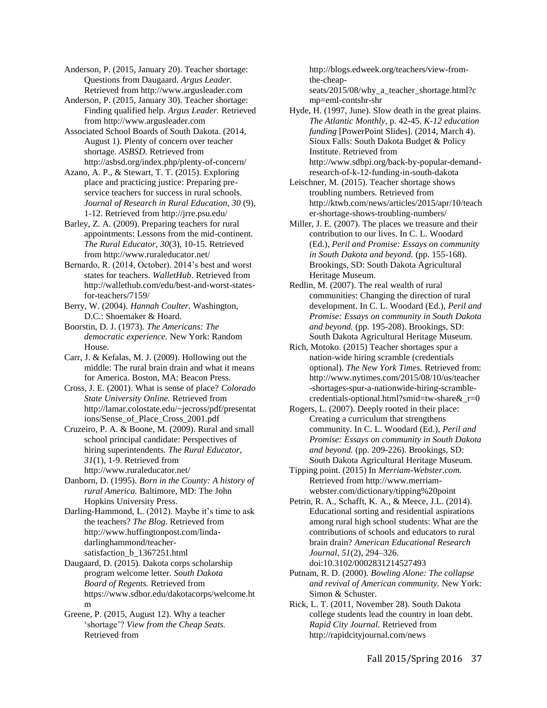Anderson, P. (2015, January 20). Teacher shortage: Questions from Daugaard. *Argus Leader.*  Retrieved from http://www.argusleader.com

Anderson, P. (2015, January 30). Teacher shortage: Finding qualified help. *Argus Leader.* Retrieved from http://www.argusleader.com

Associated School Boards of South Dakota. (2014, August 1). Plenty of concern over teacher shortage. *ASBSD.* Retrieved from http://asbsd.org/index.php/plenty-of-concern/

Azano, A. P., & Stewart, T. T. (2015). Exploring place and practicing justice: Preparing preservice teachers for success in rural schools. *Journal of Research in Rural Education, 30* (9), 1-12. Retrieved from http://jrre.psu.edu/

Barley, Z. A. (2009). Preparing teachers for rural appointments: Lessons from the mid-continent. *The Rural Educator, 30*(3), 10-15. Retrieved from http://www.ruraleducator.net/

Bernardo, R. (2014, October). 2014's best and worst states for teachers. *WalletHub*. Retrieved from http://wallethub.com/edu/best-and-worst-statesfor-teachers/7159/

Berry, W. (2004). *Hannah Coulter.* Washington, D.C.: Shoemaker & Hoard.

Boorstin, D. J. (1973). *The Americans: The democratic experience.* New York: Random House.

Carr, J. & Kefalas, M. J. (2009). Hollowing out the middle: The rural brain drain and what it means for America. Boston, MA: Beacon Press.

Cross, J. E. (2001). What is sense of place? *Colorado State University Online.* Retrieved from http://lamar.colostate.edu/~jecross/pdf/presentat ions/Sense\_of\_Place\_Cross\_2001.pdf

Cruzeiro, P. A. & Boone, M. (2009). Rural and small school principal candidate: Perspectives of hiring superintendents. *The Rural Educator, 31*(1), 1-9. Retrieved from http://www.ruraleducator.net/

Danborn, D. (1995). *Born in the County: A history of rural America.* Baltimore, MD: The John Hopkins University Press.

Darling-Hammond, L. (2012). Maybe it's time to ask the teachers? *The Blog.* Retrieved from http://www.huffingtonpost.com/lindadarlinghammond/teachersatisfaction b 1367251.html

Daugaard, D. (2015). Dakota corps scholarship program welcome letter. *South Dakota Board of Regents.* Retrieved from https://www.sdbor.edu/dakotacorps/welcome.ht m

Greene, P. (2015, August 12). Why a teacher 'shortage'? *View from the Cheap Seats.*  Retrieved from

http://blogs.edweek.org/teachers/view-fromthe-cheapseats/2015/08/why\_a\_teacher\_shortage.html?c

mp=eml-contshr-shr Hyde, H. (1997, June). Slow death in the great plains. *The Atlantic Monthly*, p. 42-45. *K-12 education funding* [PowerPoint Slides]. (2014, March 4). Sioux Falls: South Dakota Budget & Policy Institute. Retrieved from http://www.sdbpi.org/back-by-popular-demand-

research-of-k-12-funding-in-south-dakota Leischner, M. (2015). Teacher shortage shows troubling numbers. Retrieved from http://ktwb.com/news/articles/2015/apr/10/teach er-shortage-shows-troubling-numbers/

Miller, J. E. (2007). The places we treasure and their contribution to our lives. In C. L. Woodard (Ed.), *Peril and Promise: Essays on community in South Dakota and beyond.* (pp. 155-168). Brookings, SD: South Dakota Agricultural Heritage Museum.

Redlin, M. (2007). The real wealth of rural communities: Changing the direction of rural development. In C. L. Woodard (Ed.), *Peril and Promise: Essays on community in South Dakota and beyond.* (pp. 195-208). Brookings, SD: South Dakota Agricultural Heritage Museum.

Rich, Motoko. (2015) Teacher shortages spur a nation-wide hiring scramble (credentials optional). *The New York Times.* Retrieved from: http://www.nytimes.com/2015/08/10/us/teacher -shortages-spur-a-nationwide-hiring-scramblecredentials-optional.html?smid=tw-share&\_r=0

Rogers, L. (2007). Deeply rooted in their place: Creating a curriculum that strengthens community. In C. L. Woodard (Ed.), *Peril and Promise: Essays on community in South Dakota and beyond.* (pp. 209-226). Brookings, SD: South Dakota Agricultural Heritage Museum.

Tipping point. (2015) In *Merriam-Webster.com.* Retrieved from http://www.merriamwebster.com/dictionary/tipping%20point

Petrin, R. A., Schafft, K. A., & Meece, J.L. (2014). Educational sorting and residential aspirations among rural high school students: What are the contributions of schools and educators to rural brain drain? *American Educational Research Journal*, *51*(2), 294–326. doi:10.3102/0002831214527493

Putnam, R. D. (2000). *Bowling Alone: The collapse and revival of American community.* New York: Simon & Schuster.

Rick, L. T. (2011, November 28). South Dakota college students lead the country in loan debt. *Rapid City Journal.* Retrieved from http://rapidcityjournal.com/news